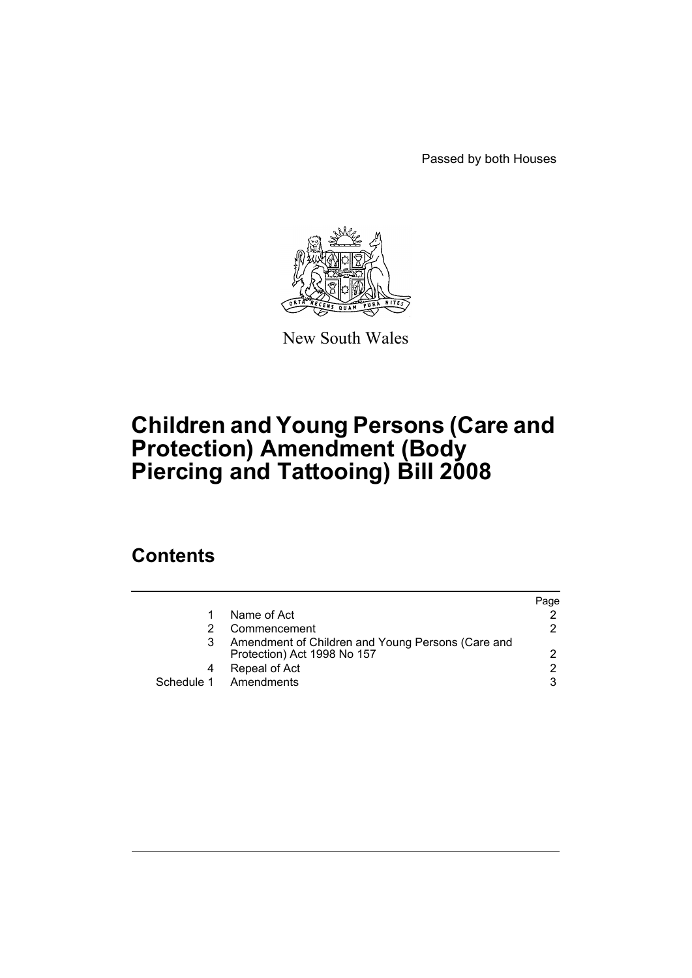Passed by both Houses



New South Wales

# **Children and Young Persons (Care and Protection) Amendment (Body Piercing and Tattooing) Bill 2008**

### **Contents**

|   |                                                                                  | Page |
|---|----------------------------------------------------------------------------------|------|
|   | Name of Act                                                                      |      |
|   | Commencement                                                                     | 2    |
|   | Amendment of Children and Young Persons (Care and<br>Protection) Act 1998 No 157 | 2    |
| 4 | Repeal of Act                                                                    | 2    |
|   | Schedule 1 Amendments                                                            | 3    |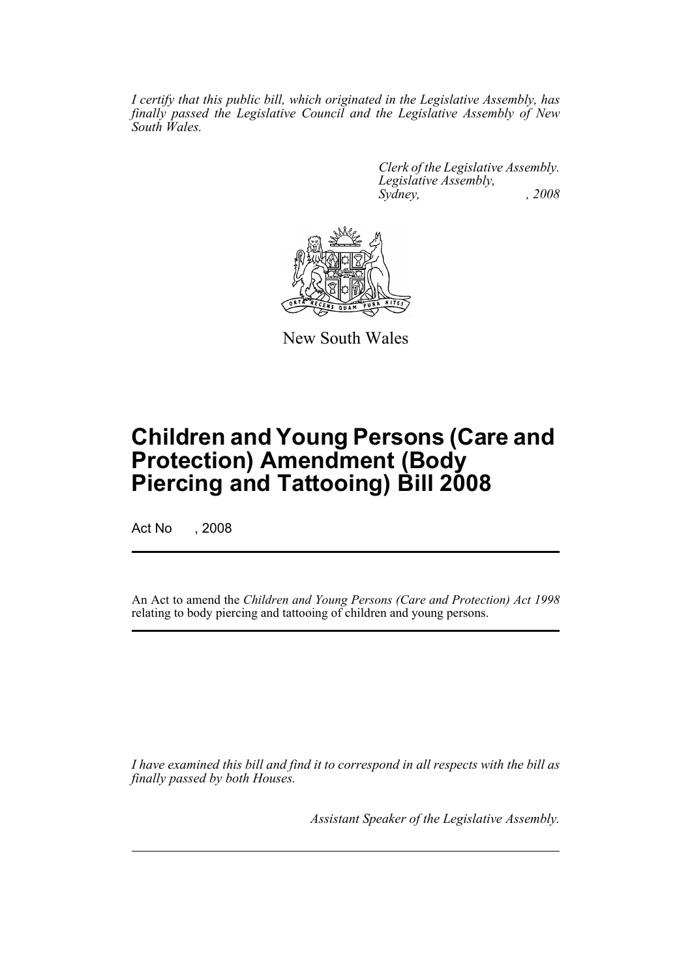*I certify that this public bill, which originated in the Legislative Assembly, has finally passed the Legislative Council and the Legislative Assembly of New South Wales.*

> *Clerk of the Legislative Assembly. Legislative Assembly, Sydney, , 2008*



New South Wales

## **Children and Young Persons (Care and Protection) Amendment (Body Piercing and Tattooing) Bill 2008**

Act No , 2008

An Act to amend the *Children and Young Persons (Care and Protection) Act 1998* relating to body piercing and tattooing of children and young persons.

*I have examined this bill and find it to correspond in all respects with the bill as finally passed by both Houses.*

*Assistant Speaker of the Legislative Assembly.*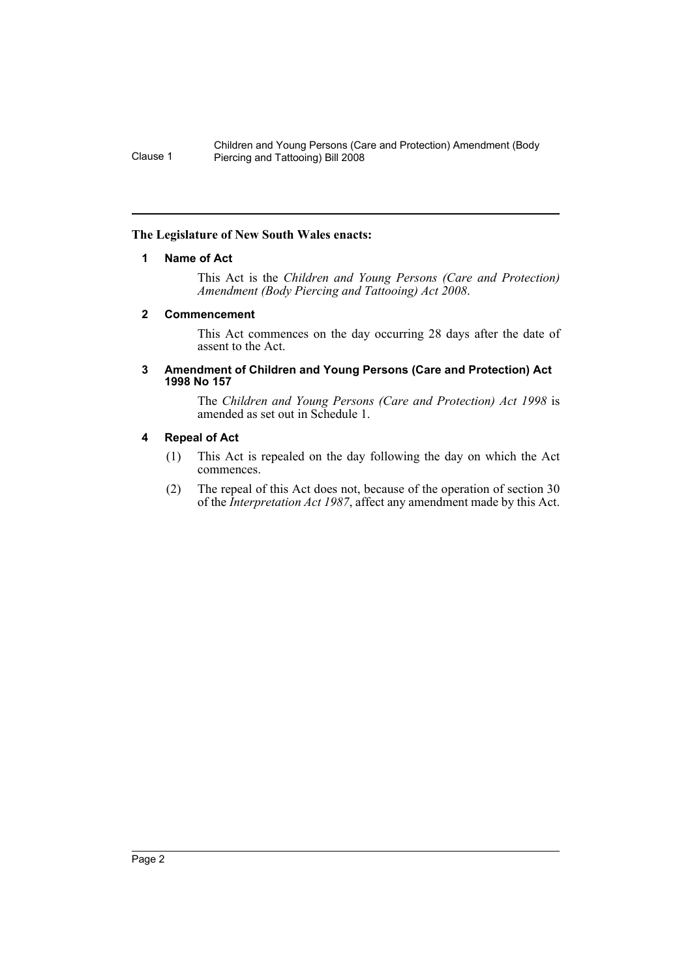Children and Young Persons (Care and Protection) Amendment (Body Clause 1 Piercing and Tattooing) Bill 2008

#### <span id="page-2-0"></span>**The Legislature of New South Wales enacts:**

#### **1 Name of Act**

This Act is the *Children and Young Persons (Care and Protection) Amendment (Body Piercing and Tattooing) Act 2008*.

#### <span id="page-2-1"></span>**2 Commencement**

This Act commences on the day occurring 28 days after the date of assent to the Act.

#### <span id="page-2-2"></span>**3 Amendment of Children and Young Persons (Care and Protection) Act 1998 No 157**

The *Children and Young Persons (Care and Protection) Act 1998* is amended as set out in Schedule 1.

#### <span id="page-2-3"></span>**4 Repeal of Act**

- (1) This Act is repealed on the day following the day on which the Act commences.
- (2) The repeal of this Act does not, because of the operation of section 30 of the *Interpretation Act 1987*, affect any amendment made by this Act.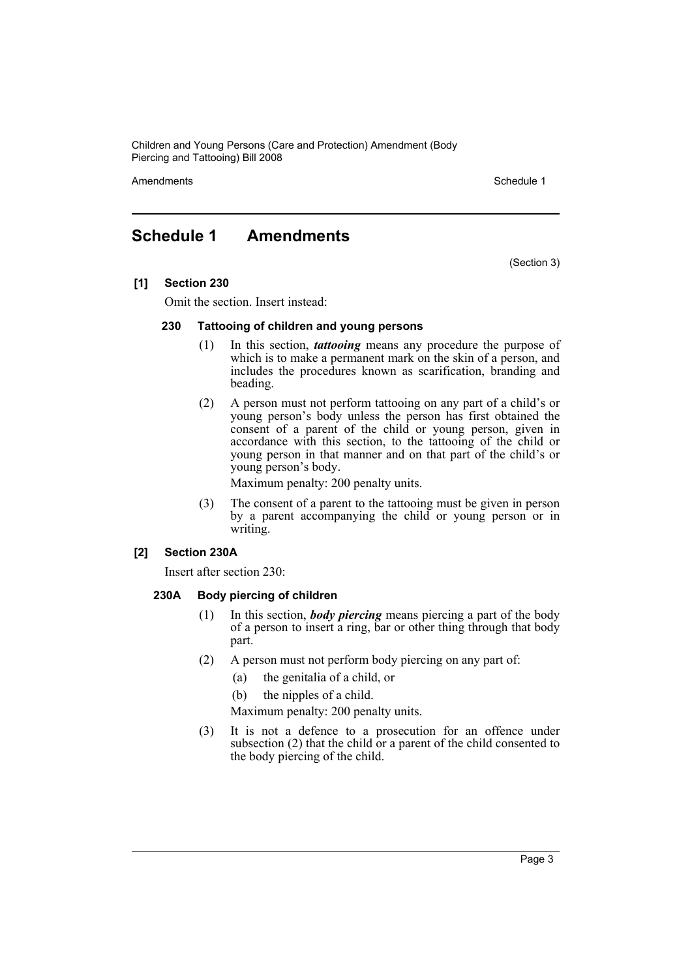Children and Young Persons (Care and Protection) Amendment (Body Piercing and Tattooing) Bill 2008

Amendments **Schedule 1** and the set of the set of the set of the set of the set of the set of the set of the set of the set of the set of the set of the set of the set of the set of the set of the set of the set of the set

### <span id="page-3-0"></span>**Schedule 1 Amendments**

(Section 3)

**[1] Section 230**

Omit the section. Insert instead:

#### **230 Tattooing of children and young persons**

- (1) In this section, *tattooing* means any procedure the purpose of which is to make a permanent mark on the skin of a person, and includes the procedures known as scarification, branding and beading.
- (2) A person must not perform tattooing on any part of a child's or young person's body unless the person has first obtained the consent of a parent of the child or young person, given in accordance with this section, to the tattooing of the child or young person in that manner and on that part of the child's or young person's body.

Maximum penalty: 200 penalty units.

(3) The consent of a parent to the tattooing must be given in person by a parent accompanying the child or young person or in writing.

#### **[2] Section 230A**

Insert after section 230:

#### **230A Body piercing of children**

- (1) In this section, *body piercing* means piercing a part of the body of a person to insert a ring, bar or other thing through that body part.
- (2) A person must not perform body piercing on any part of:
	- (a) the genitalia of a child, or
	- (b) the nipples of a child.
	- Maximum penalty: 200 penalty units.
- (3) It is not a defence to a prosecution for an offence under subsection  $(2)$  that the child or a parent of the child consented to the body piercing of the child.